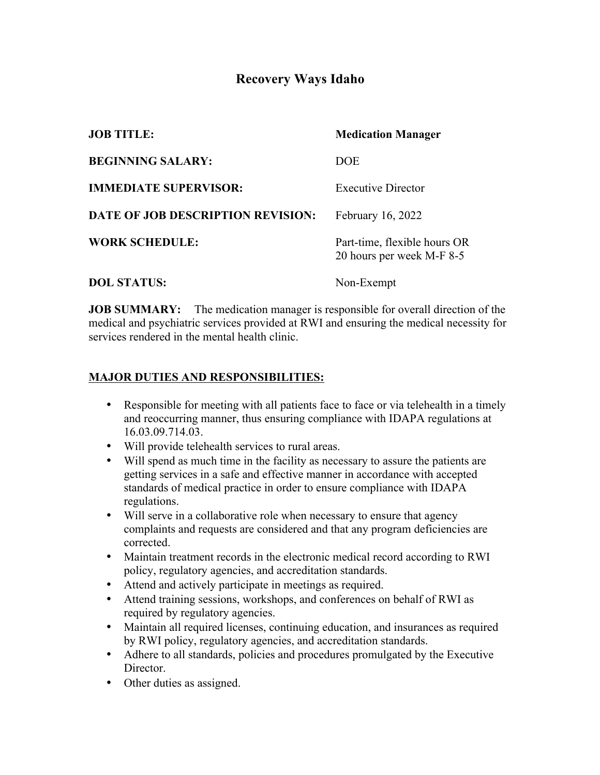# **Recovery Ways Idaho**

| <b>JOB TITLE:</b>                        | <b>Medication Manager</b>                                 |
|------------------------------------------|-----------------------------------------------------------|
| <b>BEGINNING SALARY:</b>                 | <b>DOE</b>                                                |
| <b>IMMEDIATE SUPERVISOR:</b>             | <b>Executive Director</b>                                 |
| <b>DATE OF JOB DESCRIPTION REVISION:</b> | February 16, 2022                                         |
| <b>WORK SCHEDULE:</b>                    | Part-time, flexible hours OR<br>20 hours per week M-F 8-5 |
| <b>DOL STATUS:</b>                       | Non-Exempt                                                |

**JOB SUMMARY:** The medication manager is responsible for overall direction of the medical and psychiatric services provided at RWI and ensuring the medical necessity for services rendered in the mental health clinic.

### **MAJOR DUTIES AND RESPONSIBILITIES:**

- Responsible for meeting with all patients face to face or via telehealth in a timely and reoccurring manner, thus ensuring compliance with IDAPA regulations at 16.03.09.714.03.
- Will provide telehealth services to rural areas.
- Will spend as much time in the facility as necessary to assure the patients are getting services in a safe and effective manner in accordance with accepted standards of medical practice in order to ensure compliance with IDAPA regulations.
- Will serve in a collaborative role when necessary to ensure that agency complaints and requests are considered and that any program deficiencies are corrected.
- Maintain treatment records in the electronic medical record according to RWI policy, regulatory agencies, and accreditation standards.
- Attend and actively participate in meetings as required.
- Attend training sessions, workshops, and conferences on behalf of RWI as required by regulatory agencies.
- Maintain all required licenses, continuing education, and insurances as required by RWI policy, regulatory agencies, and accreditation standards.
- Adhere to all standards, policies and procedures promulgated by the Executive Director.
- Other duties as assigned.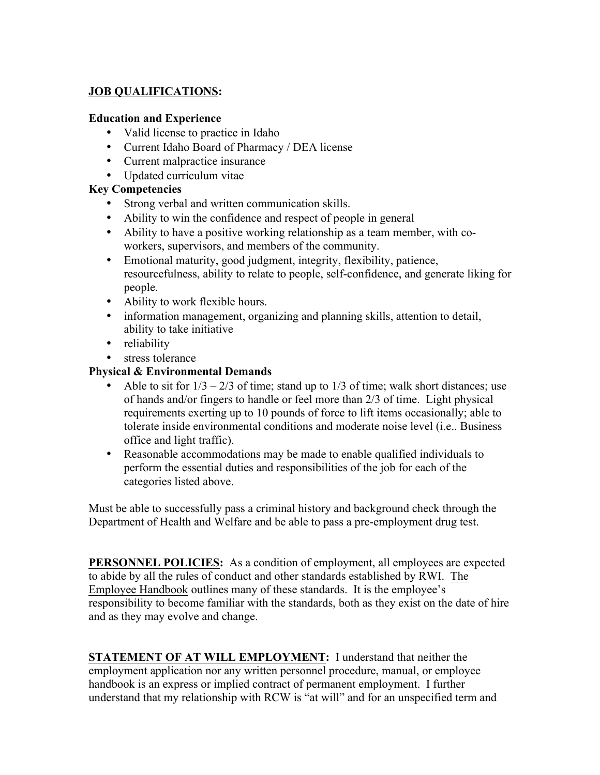# **JOB QUALIFICATIONS:**

#### **Education and Experience**

- Valid license to practice in Idaho
- Current Idaho Board of Pharmacy / DEA license
- Current malpractice insurance
- Updated curriculum vitae

# **Key Competencies**

- Strong verbal and written communication skills.
- Ability to win the confidence and respect of people in general
- Ability to have a positive working relationship as a team member, with coworkers, supervisors, and members of the community.
- Emotional maturity, good judgment, integrity, flexibility, patience, resourcefulness, ability to relate to people, self-confidence, and generate liking for people.
- Ability to work flexible hours.
- information management, organizing and planning skills, attention to detail, ability to take initiative
- reliability
- stress tolerance

# **Physical & Environmental Demands**

- Able to sit for  $1/3 2/3$  of time; stand up to  $1/3$  of time; walk short distances; use of hands and/or fingers to handle or feel more than 2/3 of time. Light physical requirements exerting up to 10 pounds of force to lift items occasionally; able to tolerate inside environmental conditions and moderate noise level (i.e.. Business office and light traffic).
- Reasonable accommodations may be made to enable qualified individuals to perform the essential duties and responsibilities of the job for each of the categories listed above.

Must be able to successfully pass a criminal history and background check through the Department of Health and Welfare and be able to pass a pre-employment drug test.

**PERSONNEL POLICIES:** As a condition of employment, all employees are expected to abide by all the rules of conduct and other standards established by RWI. The Employee Handbook outlines many of these standards. It is the employee's responsibility to become familiar with the standards, both as they exist on the date of hire and as they may evolve and change.

**STATEMENT OF AT WILL EMPLOYMENT:** I understand that neither the employment application nor any written personnel procedure, manual, or employee handbook is an express or implied contract of permanent employment. I further understand that my relationship with RCW is "at will" and for an unspecified term and